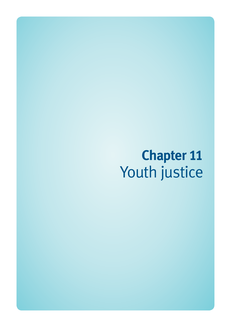# **Chapter 11**  Youth justice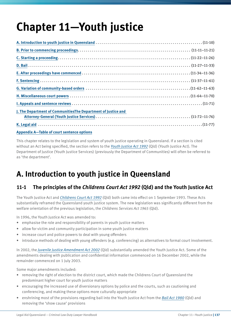# **Chapter 11—Youth justice**

| J. The Department of CommunitiesThe Department of Justice and |  |
|---------------------------------------------------------------|--|
|                                                               |  |
|                                                               |  |

#### **Appendix A—Table of court sentence options**

This chapter relates to the legislation and system of youth justice operating in Queensland. If a section is cited without an Act being specified, the section refers to the *Youth Justice Act 1992* (Qld) (Youth Justice Act). The Department of Justice (Youth Justice Services) (previously the Department of Communities) will often be referred to as 'the department'.

# **A. Introduction to youth justice in Queensland**

### **11-1 The principles of the** *Childrens Court Act 1992* **(Qld) and the Youth Justice Act**

The Youth Justice Act and *Childrens Court Act 1992* (Qld) both came into effect on 1 September 1993. These Acts substantially reframed the Queensland youth justice system. The new legislation was significantly different from the welfare orientation of the previous legislation, the *Childrens Services Act 1965* (Qld).

In 1996, the Youth Justice Act was amended to:

- emphasise the role and responsibility of parents in youth justice matters
- allow for victim and community participation in some youth justice matters
- increase court and police powers to deal with young offenders
- introduce methods of dealing with young offenders (e.g. conferencing) as alternatives to formal court involvement.

In 2002, the *Juvenile Justice Amendment Act 2002* (Qld) substantially amended the Youth Justice Act. Some of the amendments dealing with publication and confidential information commenced on 16 December 2002, while the remainder commenced on 1 July 2003.

Some major amendments included:

- removing the right of election to the district court, which made the Childrens Court of Queensland the predominant higher court for youth justice matters
- encouraging the increased use of diversionary options by police and the courts, such as cautioning and conferencing, and making these options more culturally appropriate
- enshrining most of the provisions regarding bail into the Youth Justice Act from the *Bail Act 1980* (Qld) and removing the 'show cause' provisions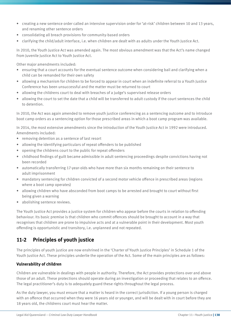- creating a new sentence order called an intensive supervision order for 'at-risk' children between 10 and 13 years, and renaming other sentence orders
- consolidating all breach provisions for community-based orders
- clarifying the child/adult interface, i.e. when children are dealt with as adults under the Youth Justice Act.

In 2010, the Youth Justice Act was amended again. The most obvious amendment was that the Act's name changed from Juvenile Justice Act to Youth Justice Act.

Other major amendments included:

- ensuring that a court accounts for the eventual sentence outcome when considering bail and clarifying when a child can be remanded for their own safety
- allowing a mechanism for children to be forced to appear in court when an indefinite referral to a Youth Justice Conference has been unsuccessful and the matter must be returned to court
- allowing the childrens court to deal with breaches of a judge's supervised release orders
- allowing the court to set the date that a child will be transferred to adult custody if the court sentences the child to detention.

In 2010, the Act was again amended to remove youth justice conferencing as a sentencing outcome and to introduce boot camp orders as a sentencing option for those prescribed areas in which a boot camp program was available.

In 2014, the most extensive amendments since the introduction of the Youth Justice Act in 1992 were introduced. Amendments included:

- removing detention as a sentence of last resort
- allowing the identifying particulars of repeat offenders to be published
- opening the childrens court to the public for repeat offenders
- childhood findings of guilt became admissible in adult sentencing proceedings despite convictions having not been recorded
- automatically transferring 17-year-olds who have more than six months remaining on their sentence to adult imprisonment
- mandatory sentencing for children convicted of a second motor vehicle offence in prescribed areas (regions where a boot camp operates)
- allowing children who have absconded from boot camps to be arrested and brought to court without first being given a warning
- abolishing sentence reviews.

The Youth Justice Act provides a justice system for children who appear before the courts in relation to offending behaviour. Its basic premise is that children who commit offences should be brought to account in a way that recognises that children are prone to impulsive acts and at a vulnerable point in their development. Most youth offending is opportunistic and transitory, i.e. unplanned and not repeated.

#### **11-2 Principles of youth justice**

The principles of youth justice are now enshrined in the 'Charter of Youth Justice Principles' in Schedule 1 of the Youth Justice Act. These principles underlie the operation of the Act. Some of the main principles are as follows:

#### **Vulnerability of children**

Children are vulnerable in dealings with people in authority. Therefore, the Act provides protections over and above those of an adult. These protections should operate during an investigation or proceeding that relates to an offence. The legal practitioner's duty is to adequately guard these rights throughout the legal process.

As the duty lawyer, you must ensure that a matter is heard in the correct jurisdiction. If a young person is charged with an offence that occurred when they were 16 years old or younger, and will be dealt with in court before they are 18 years old, the childrens court must hear the matter.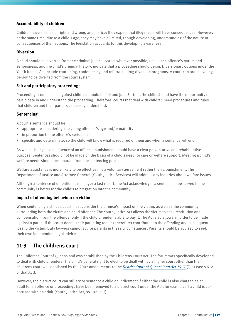#### **Accountability of children**

Children have a sense of right and wrong, and justice; they expect that illegal acts will have consequences. However, at the same time, due to a child's age, they may have a limited, though developing, understanding of the nature or consequences of their actions. The legislation accounts for this developing awareness.

#### **Diversion**

A child should be diverted from the criminal justice system wherever possible, unless the offence's nature and seriousness, and the child's criminal history, indicate that a proceeding should begin. Diversionary options under the Youth Justice Act include cautioning, conferencing and referral to drug diversion programs. A court can order a young person to be diverted from the court system.

#### **Fair and participatory proceedings**

Proceedings commenced against children should be fair and just. Further, the child should have the opportunity to participate in and understand the proceeding. Therefore, courts that deal with children need procedures and rules that children and their parents can easily understand.

#### **Sentencing**

A court's sentence should be:

- appropriate considering the young offender's age and/or maturity
- in proportion to the offence's seriousness
- specific and determinate, so the child will know what is required of them and when a sentence will end.

As well as being a consequence of an offence, punishment should have a clear preventative and rehabilitative purpose. Sentences should not be made on the basis of a child's need for care or welfare support. Meeting a child's welfare needs should be separate from the sentencing process.

Welfare assistance is more likely to be effective if is a voluntary agreement rather than a punishment. The Department of Justice and Attorney-General (Youth Justice Services) will address any inquiries about welfare issues.

Although a sentence of detention is no longer a last resort, the Act acknowledges a sentence to be served in the community is better for the child's reintegration into the community.

#### **Impact of offending behaviour on victim**

When sentencing a child, a court must consider the offence's impact on the victim, as well as the community surrounding both the victim and child offender. The Youth Justice Act allows the victim to seek restitution and compensation from the offender only if the child offender is able to pay it. The Act also allows an order to be made against a parent if the court deems their parenting (or lack therefore) contributed to the offending and subsequent loss to the victim. Duty lawyers cannot act for parents in these circumstances. Parents should be advised to seek their own independent legal advice.

#### **11-3 The childrens court**

The Childrens Court of Queensland was established by the Childrens Court Act. The forum was specifically developed to deal with child offenders. The child's general right to elect to be dealt with by a higher court other than the childrens court was abolished by the 2002 amendments to the *District Court of Queensland Act 1967* (Qld) (see s 61A of that Act).

However, the district court can still try or sentence a child on indictment if either the child is also charged as an adult for an offence or proceedings have been removed to a district court under the Act; for example, if a child is coaccused with an adult (Youth Justice Act, ss 107–113).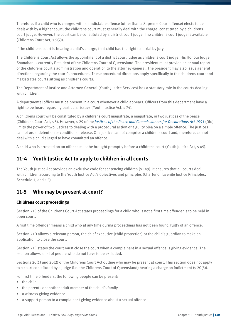Therefore, if a child who is charged with an indictable offence (other than a Supreme Court offence) elects to be dealt with by a higher court, the childrens court must generally deal with the charge, constituted by a childrens court judge. However, the court can be constituted by a district court judge if no childrens court judge is available (Childrens Court Act, s 5(2)).

If the childrens court is hearing a child's charge, that child has the right to a trial by jury.

The Childrens Court Act allows the appointment of a district court judge as childrens court judge. His Honour Judge Shanahan is currently President of the Childrens Court of Queensland. The president must provide an annual report of the childrens court's administration and operation to the attorney-general. The president may also issue general directions regarding the court's procedures. These procedural directions apply specifically to the childrens court and magistrates courts sitting as childrens courts.

The Department of Justice and Attorney-General (Youth Justice Services) has a statutory role in the courts dealing with children.

A departmental officer must be present in a court whenever a child appears. Officers from this department have a right to be heard regarding particular issues (Youth Justice Act, s 74).

A childrens court will be constituted by a childrens court magistrate, a magistrate, or two justices of the peace (Childrens Court Act, s 5). However, s 29 of the *Justices of the Peace and Commissioners for Declarations Act 1991* (Qld) limits the power of two justices to dealing with a procedural action or a guilty plea on a simple offence. The justices cannot order detention or conditional release. One justice cannot comprise a childrens court and, therefore, cannot deal with a child alleged to have committed an offence.

A child who is arrested on an offence must be brought promptly before a childrens court (Youth Justice Act, s 49).

### **11-4 Youth Justice Act to apply to children in all courts**

The Youth Justice Act provides an exclusive code for sentencing children (s 149). It ensures that all courts deal with children according to the Youth Justice Act's objectives and principles (Charter of Juvenile Justice Principles, Schedule 1, and s 3).

#### **11-5 Who may be present at court?**

#### **Childrens court proceedings**

Section 21C of the Childrens Court Act states proceedings for a child who is not a first time offender is to be held in open court.

A first time offender means a child who at any time during proceedings has not been found guilty of an offence.

Section 21D allows a relevant person, the chief executive (child protection) or the child's guardian to make an application to close the court.

Section 21E states the court must close the court when a complainant in a sexual offence is giving evidence. The section allows a list of people who do not have to be excluded.

Sections 20(1) and 20(2) of the Childrens Court Act outline who may be present at court. This section does not apply to a court constituted by a judge (i.e. the Childrens Court of Queensland) hearing a charge on indictment (s 20(5)).

For first time offenders, the following people can be present:

- the child
- the parents or another adult member of the child's family
- a witness giving evidence
- a support person to a complainant giving evidence about a sexual offence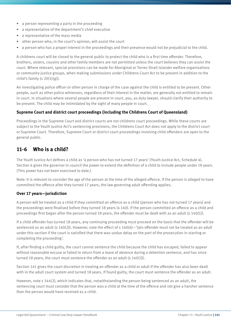- a person representing a party in the proceeding
- a representative of the department's chief executive
- a representative of the mass media
- other person who, in the court's opinion, will assist the court
- a person who has a proper interest in the proceedings and their presence would not be prejudicial to the child.

A childrens court will be closed to the general public to protect the child who is a first time offender. Therefore, brothers, sisters, cousins and other family members are not permitted unless the court believes they can assist the court. Where relevant, special provisions can be made for Aboriginal or Torres Strait Islander welfare organisations or community justice groups, when making submissions under Childrens Court Act to be present in addition to the child's family (s  $20(1)(g)$ ).

An investigating police officer or other person in charge of the case against the child is entitled to be present. Other people, such as other police witnesses, regardless of their interest in the matter, are generally not entitled to remain in court. In situations where several people are present in court, you, as duty lawyer, should clarify their authority to be present. The child may be intimidated by the sight of many people in court.

#### **Supreme Court and district court proceedings (including the Childrens Court of Queensland)**

Proceedings in the Supreme Court and district courts are not childrens court proceedings. While these courts are subject to the Youth Justice Act's sentencing provisions, the Childrens Court Act does not apply to the district court or Supreme Court. Therefore, Supreme Court or district court proceedings involving child offenders are open to the general public.

#### **11-6 Who is a child?**

The Youth Justice Act defines a child as 'a person who has not turned 17 years' (Youth Justice Act, Schedule 4). Section 6 gives the governor in council the power to extend the definition of a child to include people under 18 years. (This power has not been exercised to date.)

Note: It is relevant to consider the age of the person at the time of the alleged offence. If the person is alleged to have committed the offence after they turned 17 years, the law governing adult offending applies.

#### **Over 17 years—jurisdiction**

A person will be treated as a child if they committed an offence as a child (person who has not turned 17 years) and the proceedings were finalised before they turned 18 years (s 140). If the person committed an offence as a child and proceedings first began after the person turned 18 years, the offender must be dealt with as an adult (s 140(1)).

If a child offender has turned 18 years, any continuing proceeding must proceed on the basis that the offender will be sentenced as an adult (s 140(2)). However, note the effect of s  $140(4) - ?$  (a)n offender must not be treated as an adult under this section if the court is satisfied that there was undue delay on the part of the prosecution in starting or completing the proceeding'.

If, after finding a child guilty, the court cannot sentence the child because the child has escaped, failed to appear without reasonable excuse or failed to return from a leave of absence during a detention sentence, and has since turned 18 years, the court must sentence the offender as an adult (s 140(3)).

Section 141 gives the court discretion in treating an offender as a child or adult if the offender has also been dealt with in the adult court system and turned 18 years. If found guilty, the court must sentence the offender as an adult.

However, note s 144(2), which indicates that, notwithstanding the person being sentenced as an adult, the sentencing court must consider that the person was a child at the time of the offence and not give a harsher sentence than the person would have received as a child.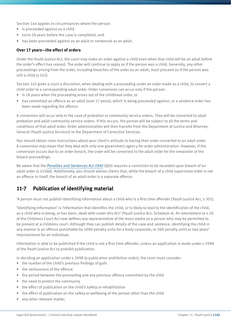Section 144 applies in circumstances where the person:

- is proceeded against as a child
- turns 18 years before the case is completed, and
- has been proceeded against as an adult or sentenced as an adult.

#### **Over 17 years—the effect of orders**

Under the Youth Justice Act, the court may make an order against a child even when that child will be an adult before the order's effect has ceased. The order will continue to apply as if the person was a child. Generally, any other proceedings arising from the order, including breaches of the order as an adult, must proceed as if the person was still a child (s 142).

Section 143 gives a court a discretion, when dealing with a proceeding under an order made as a child, to convert a child order to a corresponding adult order. Order conversion can occur only if the person:

- is 18 years when the proceeding arises out of the childhood order, or
- has committed an offence as an adult (over 17 years), which is being proceeded against, or a sentence order has been made regarding the offence.

A conversion will occur only in the case of probation or community service orders. They will be converted to adult probation and adult community service orders. If this occurs, the person will be subject to all the terms and conditions of that adult order. Order administration will then transfer from the Department of Justice and Attorney-General (Youth Justice Services) to the Department of Corrective Services.

You should obtain clear instructions about your client's attitude to having their order converted to an adult order. A conversion may mean that they deal with only one government agency for order administration. However, if the conversion occurs due to an order breach, the order will be converted to the adult order for the remainder of the breach proceedings.

Be aware that the *Penalties and Sentences Act 1992* (Qld) requires a conviction to be recorded upon breach of an adult order (s 143(6)). Additionally, you should advise clients that, while the breach of a child supervised order is not an offence in itself, the breach of an adult order is a separate offence.

### **11-7 Publication of identifying material**

'A person must not publish identifying information about a child who is a first time offender (Youth Justice Act, s 301).

'Identifying information' is 'information that identifies the child, or is likely to lead to the identification of the child, as a child who is being, or has been, dealt with under this Act' (Youth Justice Act, Schedule 4). An amendment to s 20 of the Childrens Court Act now defines any representative of the mass media as a person who may be permitted to be present at a childrens court. Although they can publish details of the case and sentence, identifying the child in any manner is an offence punishable by 1000 penalty units for a body corporate, or 200 penalty units or two years' imprisonment for an individual.

Information is able to be published if the child is not a first time offender, unless an application is made under s 299A of the Youth Justice Act to prohibit publication.

In deciding an application under s 299A (a publication prohibition order), the court must consider:

- the number of the child's previous findings of guilt
- the seriousness of the offence
- the period between the proceeding and any previous offence committed by the child
- the need to protect the community
- the effect of publication on the child's safety or rehabilitation
- the effect of publication on the safety or wellbeing of the person other than the child
- any other relevant matter.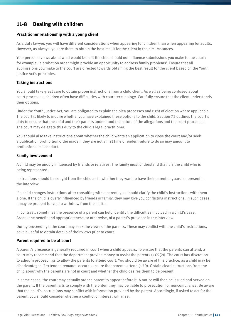## **11-8 Dealing with children**

#### **Practitioner relationship with a young client**

As a duty lawyer, you will have different considerations when appearing for children than when appearing for adults. However, as always, you are there to obtain the best result for the client in the circumstances.

Your personal views about what would benefit the child should not influence submissions you make to the court; for example, 'a probation order might provide an opportunity to address family problems'. Ensure that all submissions you make to the court are directed towards obtaining the best result for the client based on the Youth Justice Act's principles.

#### **Taking instructions**

You should take great care to obtain proper instructions from a child client. As well as being confused about court processes, children often have difficulties with court terminology. Carefully ensure that the client understands their options.

Under the Youth Justice Act, you are obligated to explain the plea processes and right of election where applicable. The court is likely to inquire whether you have explained these options to the child. Section 72 outlines the court's duty to ensure that the child and their parents understand the nature of the allegations and the court processes. The court may delegate this duty to the child's legal practitioner.

You should also take instructions about whether the child wants an application to close the court and/or seek a publication prohibition order made if they are not a first time offender. Failure to do so may amount to professional misconduct.

#### **Family involvement**

A child may be unduly influenced by friends or relatives. The family must understand that it is the child who is being represented.

Instructions should be sought from the child as to whether they want to have their parent or guardian present in the interview.

If a child changes instructions after consulting with a parent, you should clarify the child's instructions with them alone. If the child is overly influenced by friends or family, they may give you conflicting instructions. In such cases, it may be prudent for you to withdraw from the matter.

In contrast, sometimes the presence of a parent can help identify the difficulties involved in a child's case. Assess the benefit and appropriateness, or otherwise, of a parent's presence in the interview.

During proceedings, the court may seek the views of the parents. These may conflict with the child's instructions, so it is useful to obtain details of their views prior to court.

#### **Parent required to be at court**

A parent's presence is generally required in court when a child appears. To ensure that the parents can attend, a court may recommend that the department provide money to assist the parents (s 69(2)). The court has discretion to adjourn proceedings to allow the parents to attend court. You should be aware of this practice, as a child may be disadvantaged if extended remands occur to ensure that parents attend (s 70). Obtain clear instructions from the child about why the parents are not in court and whether the child desires them to be present.

In some cases, the court may actually order a parent to appear before it. A notice will then be issued and served on the parent. If the parent fails to comply with the order, they may be liable to prosecution for noncompliance. Be aware that the child's instructions may conflict with information provided by the parent. Accordingly, if asked to act for the parent, you should consider whether a conflict of interest will arise.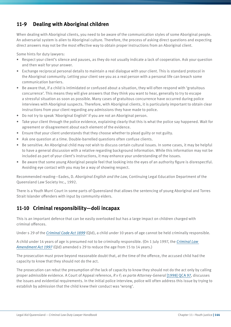# **11-9 Dealing with Aboriginal children**

When dealing with Aboriginal clients, you need to be aware of the communication styles of some Aboriginal people. An adversarial system is alien to Aboriginal culture. Therefore, the process of asking direct questions and expecting direct answers may not be the most effective way to obtain proper instructions from an Aboriginal client.

Some hints for duty lawyers:

- Respect your client's silence and pauses, as they do not usually indicate a lack of cooperation. Ask your question and then wait for your answer.
- Exchange reciprocal personal details to maintain a real dialogue with your client. This is standard protocol in the Aboriginal community. Letting your client see you as a real person with a personal life can breach some communication barriers.
- Be aware that, if a child is intimidated or confused about a situation, they will often respond with 'gratuitous concurrence'. This means they will give answers that they think you want to hear, generally to try to escape a stressful situation as soon as possible. Many cases of gratuitous concurrence have occurred during police interviews with Aboriginal suspects. Therefore, with Aboriginal clients, it is particularly important to obtain clear instructions from your client regarding any admissions they have made to police.
- Do not try to speak 'Aboriginal English' if you are not an Aboriginal person.
- Take your client through the police evidence, explaining clearly that this is what the police say happened. Wait for agreement or disagreement about each element of the evidence.
- Ensure that your client understands that they choose whether to plead guilty or not guilty.
- Ask one question at a time. Double-barrelled questions often confuse clients.
- Be sensitive. An Aboriginal child may not wish to discuss certain cultural issues. In some cases, it may be helpful to have a general discussion with a relative regarding background information. While this information may not be included as part of your client's instructions, it may enhance your understanding of the issues.
- Be aware that some young Aboriginal people feel that looking into the eyes of an authority figure is disrespectful. Avoiding eye contact with you may be a way of showing respect.

Recommended reading—Eades, D. *Aboriginal English and the Law*, Continuing Legal Education Department of the Queensland Law Society Inc., 1992.

There is a Youth Murri Court in some parts of Queensland that allows the sentencing of young Aboriginal and Torres Strait Islander offenders with input by community elders.

#### **11-10 Criminal responsibility—doli incapax**

This is an important defence that can be easily overlooked but has a large impact on children charged with criminal offences.

Under s 29 of the *Criminal Code Act 1899* (Qld), a child under 10 years of age cannot be held criminally responsible.

A child under 14 years of age is presumed not to be criminally responsible. (On 1 July 1997, the *Criminal Law Amendment Act 1997* (Qld) amended s 29 to reduce the age from 15 to 14 years.)

The prosecution must prove beyond reasonable doubt that, at the time of the offence, the accused child had the capacity to know that they should not do the act.

The prosecution can rebut the presumption of the lack of capacity to know they should not do the act only by calling proper admissible evidence. A Court of Appeal reference, *R v F; ex parte Attorney-General* [1998] QCA 97, discusses the issues and evidential requirements. In the initial police interview, police will often address this issue by trying to establish by admission that the child knew their conduct was 'wrong'.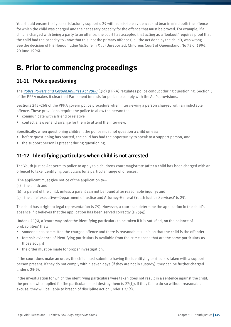You should ensure that you satisfactorily support s 29 with admissible evidence, and bear in mind both the offence for which the child was charged and the necessary capacity for the offence that must be proved. For example, if a child is charged with being a party to an offence, the court has accepted that acting as a 'lookout' requires proof that the child had the capacity to know that this, not the primary offence (i.e. 'the act done by the child'), was wrong. See the decision of His Honour Judge McGuire in *R v J* (Unreported, Childrens Court of Queensland, No 75 of 1996, 20 June 1996).

# **B. Prior to commencing proceedings**

# **11-11 Police questioning**

The *Police Powers and Responsibilities Act 2000* (Qld) (PPRA) regulates police conduct during questioning. Section 5 of the PPRA makes it clear that Parliament intends for police to comply with the Act's provisions.

Sections 245–268 of the PPRA govern police procedure when interviewing a person charged with an indictable offence. These provisions require the police to allow the person to:

- communicate with a friend or relative
- contact a lawyer and arrange for them to attend the interview.

Specifically, when questioning children, the police must not question a child unless:

- before questioning has started, the child has had the opportunity to speak to a support person, and
- the support person is present during questioning.

#### **11-12 Identifying particulars when child is not arrested**

The Youth Justice Act permits police to apply to a childrens court magistrate (after a child has been charged with an offence) to take identifying particulars for a particular range of offences.

'The applicant must give notice of the application to—

- (a) the child; and
- (b) a parent of the child, unless a parent can not be found after reasonable inquiry; and
- (c) the chief executive—Department of Justice and Attorney-General (Youth Justice Services)' (s 25).

The child has a right to legal representation (s 79). However, a court can determine the application in the child's absence if it believes that the application has been served correctly (s 25(4)).

Under s 25(6), a 'court may order the identifying particulars to be taken if it is satisfied, on the balance of probabilities' that:

- someone has committed the charged offence and there is reasonable suspicion that the child is the offender
- forensic evidence of identifying particulars is available from the crime scene that are the same particulars as those sought
- the order must be made for proper investigation.

If the court does make an order, the child must submit to having the identifying particulars taken with a support person present. If they do not comply within seven days (if they are not in custody), they can be further charged under s 25(9).

If the investigation for which the identifying particulars were taken does not result in a sentence against the child, the person who applied for the particulars must destroy them (s 27(1)). If they fail to do so without reasonable excuse, they will be liable to breach of discipline action under s 27(4).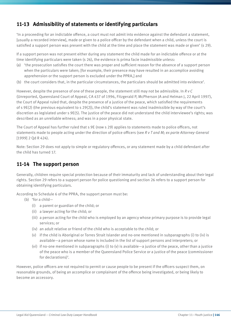# **11-13 Admissibility of statements or identifying particulars**

'In a proceeding for an indictable offence, a court must not admit into evidence against the defendant a statement, [usually a recorded interview], made or given to a police officer by the defendant when a child, unless the court is satisfied a support person was present with the child at the time and place the statement was made or given' (s 29).

If a support person was not present either during any statement the child made for an indictable offence or at the time identifying particulars were taken (s 26), the evidence is prima facie inadmissible unless:

- (a) 'the prosecution satisfies the court there was proper and sufficient reason for the absence of a support person when the particulars were taken; [for example, their presence may have resulted in an accomplice avoiding apprehension or the support person is excluded under the PPRA,] and
- (b) the court considers that, in the particular circumstances, the particulars should be admitted into evidence'.

However, despite the presence of one of these people, the statement still may not be admissible. In *R v C* (Unreported, Queensland Court of Appeal, CA 437 of 1996, Fitzgerald P, McPherson JA and Helman J, 22 April 1997), the Court of Appeal ruled that, despite the presence of a justice of the peace, which satisfied the requirements of s 9E(2) (the previous equivalent to s 29(2)), the child's statement was ruled inadmissible by way of the court's discretion as legislated under s 9E(5). The justice of the peace did not understand the child interviewee's rights; was described as an unreliable witness; and was in a poor physical state.

The Court of Appeal has further ruled that s 9E (now s 29) applies to statements made to police officers, not statements made to people acting under the direction of police officers (see *R v T and M; ex parte Attorney-General* [1999] 2 Qd R 424).

Note: Section 29 does not apply to simple or regulatory offences, or any statement made by a child defendant after the child has turned 17.

### **11-14 The support person**

Generally, children require special protection because of their immaturity and lack of understanding about their legal rights. Section 29 refers to a support person for police questioning and section 26 refers to a support person for obtaining identifying particulars.

According to Schedule 6 of the PPRA, the support person must be:

- (b) 'for a child—
	- (i) a parent or guardian of the child; or
	- (ii) a lawyer acting for the child; or
	- (iii) a person acting for the child who is employed by an agency whose primary purpose is to provide legal services; or
	- (iv) an adult relative or friend of the child who is acceptable to the child; or
	- (v) if the child is Aboriginal or Torres Strait Islander and no-one mentioned in subparagraphs (i) to (iv) is available—a person whose name is included in the list of support persons and interpreters; or
	- (vi) if no-one mentioned in subparagraphs (i) to (v) is available—a justice of the peace, other than a justice of the peace who is a member of the Queensland Police Service or a justice of the peace (commissioner for declarations)'.

However, police officers are not required to permit or cause people to be present if the officers suspect them, on reasonable grounds, of being an accomplice or complainant of the offence being investigated, or being likely to become an accessory.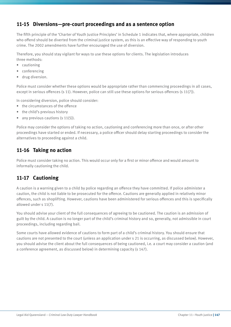#### **11-15 Diversions—pre-court proceedings and as a sentence option**

The fifth principle of the 'Charter of Youth Justice Principles' in Schedule 1 indicates that, where appropriate, children who offend should be diverted from the criminal justice system, as this is an effective way of responding to youth crime. The 2002 amendments have further encouraged the use of diversion.

Therefore, you should stay vigilant for ways to use these options for clients. The legislation introduces three methods:

- cautioning
- conferencing
- drug diversion.

Police must consider whether these options would be appropriate rather than commencing proceedings in all cases, except in serious offences (s 11). However, police can still use these options for serious offences (s 11(7)).

In considering diversion, police should consider:

- the circumstances of the offence
- the child's previous history
- any previous cautions  $(s 11(5))$ .

Police may consider the options of taking no action, cautioning and conferencing more than once, or after other proceedings have started or ended. If necessary, a police officer should delay starting proceedings to consider the alternatives to proceeding against a child.

#### **11-16 Taking no action**

Police must consider taking no action. This would occur only for a first or minor offence and would amount to informally cautioning the child.

### **11-17 Cautioning**

A caution is a warning given to a child by police regarding an offence they have committed. If police administer a caution, the child is not liable to be prosecuted for the offence. Cautions are generally applied in relatively minor offences, such as shoplifting. However, cautions have been administered for serious offences and this is specifically allowed under s 11(7).

You should advise your client of the full consequences of agreeing to be cautioned. The caution is an admission of guilt by the child. A caution is no longer part of the child's criminal history and so, generally, not admissible in court proceedings, including regarding bail.

Some courts have allowed evidence of cautions to form part of a child's criminal history. You should ensure that cautions are not presented to the court (unless an application under s 21 is occurring, as discussed below). However, you should advise the client about the full consequences of being cautioned, i.e. a court may consider a caution (and a conference agreement, as discussed below) in determining capacity (s 147).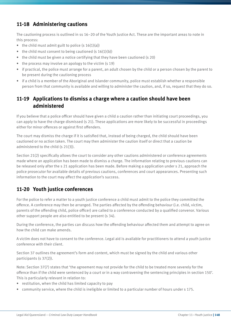# **11-18 Administering cautions**

The cautioning process is outlined in ss 16–20 of the Youth Justice Act. These are the important areas to note in this process:

- the child must admit guilt to police  $(s 16(1)(a))$
- the child must consent to being cautioned  $(s 16(1)(b))$
- the child must be given a notice certifying that they have been cautioned (s 20)
- the process may involve an apology to the victim (s 19)
- if practical, the police must arrange for a parent, an adult chosen by the child or a person chosen by the parent to be present during the cautioning process
- if a child is a member of the Aboriginal and Islander community, police must establish whether a responsible person from that community is available and willing to administer the caution, and, if so, request that they do so.

#### **11-19 Applications to dismiss a charge where a caution should have been administered**

If you believe that a police officer should have given a child a caution rather than initiating court proceedings, you can apply to have the charge dismissed (s 21). These applications are more likely to be successful in proceedings either for minor offences or against first offenders.

The court may dismiss the charge if it is satisfied that, instead of being charged, the child should have been cautioned or no action taken. The court may then administer the caution itself or direct that a caution be administered to the child (s 21(3)).

Section 21(2) specifically allows the court to consider any other cautions administered or conference agreements made where an application has been made to dismiss a charge. The information relating to previous cautions can be released only after the s 21 application has been made. Before making a application under s 21, approach the police prosecutor for available details of previous cautions, conferences and court appearances. Presenting such information to the court may affect the application's success.

### **11-20 Youth justice conferences**

For the police to refer a matter to a youth justice conference a child must admit to the police they committed the offence. A conference may then be arranged. The parties affected by the offending behaviour (i.e. child, victim, parents of the offending child, police officer) are called to a conference conducted by a qualified convenor. Various other support people are also entitled to be present (s 34).

During the conference, the parties can discuss how the offending behaviour affected them and attempt to agree on how the child can make amends.

A victim does not have to consent to the conference. Legal aid is available for practitioners to attend a youth justice conference with their client.

Section 37 outlines the agreement's form and content, which must be signed by the child and various other participants (s 37(2)).

Note: Section 37(7) states that 'the agreement may not provide for the child to be treated more severely for the offence than if the child were sentenced by a court or in a way contravening the sentencing principles in section 150'. This is particularly relevant in relation to:

- restitution, when the child has limited capacity to pay
- community service, where the child is ineligible or limited to a particular number of hours under s 175.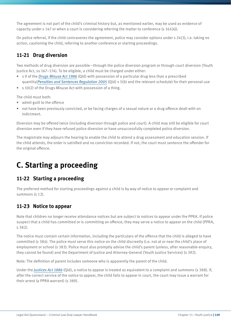The agreement is not part of the child's criminal history but, as mentioned earlier, may be used as evidence of capacity under s 147 or when a court is considering referring the matter to conference (s 161(4)).

On police referral, if the child contravenes the agreement, police may consider options under s 24(3), i.e. taking no action, cautioning the child, referring to another conference or starting proceedings.

# **11-21 Drug diversion**

Two methods of drug diversion are possible—through the police diversion program or through court diversion (Youth Justice Act, ss 167–174). To be eligible, a child must be charged under either:

- s 9 of the *Drugs Misuse Act 1986* (Qld) with possession of a particular drug less than a prescribed quantity(*Penalties and Sentences Regulation 2005* (Qld) s 5(b) and the relevant schedule) for their personal use
- s 10(2) of the Drugs Misuse Act with possession of a thing.

The child must both:

- admit guilt to the offence
- not have been previously convicted, or be facing charges of a sexual nature or a drug offence dealt with on indictment.

Diversion may be offered twice (including diversion through police and court). A child may still be eligible for court diversion even if they have refused police diversion or have unsuccessfully completed police diversion.

The magistrate may adjourn the hearing to enable the child to attend a drug assessment and education session. If the child attends, the order is satisfied and no conviction recorded. If not, the court must sentence the offender for the original offence.

# **C. Starting a proceeding**

### **11-22 Starting a proceeding**

The preferred method for starting proceedings against a child is by way of notice to appear or complaint and summons (s 12).

# **11-23 Notice to appear**

Note that children no longer receive attendance notices but are subject to notices to appear under the PPRA. If police suspect that a child has committed or is committing an offence, they may serve a notice to appear on the child (PPRA, s 382).

The notice must contain certain information, including the particulars of the offence that the child is alleged to have committed (s 384). The police must serve this notice on the child discreetly (i.e. not at or near the child's place of employment or school (s 383). Police must also promptly advise the child's parent (unless, after reasonable enquiry, they cannot be found) and the Department of Justice and Attorney-General (Youth Justice Services) (s 392).

Note: The definition of parent includes someone who is apparently the parent of the child.

Under the *Justices Act 1886* (Qld), a notice to appear is treated as equivalent to a complaint and summons (s 388). If, after the correct service of the notice to appear, the child fails to appear in court, the court may issue a warrant for their arrest (a PPRA warrant) (s 389).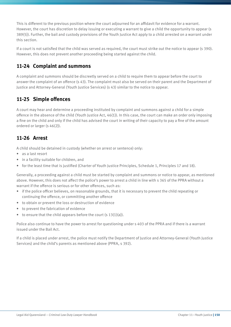This is different to the previous position where the court adjourned for an affidavit for evidence for a warrant. However, the court has discretion to delay issuing or executing a warrant to give a child the opportunity to appear (s 389(5)). Further, the bail and custody provisions of the Youth Justice Act apply to a child arrested on a warrant under this section.

If a court is not satisfied that the child was served as required, the court must strike out the notice to appear (s 390). However, this does not prevent another proceeding being started against the child.

#### **11-24 Complaint and summons**

A complaint and summons should be discreetly served on a child to require them to appear before the court to answer the complaint of an offence (s 43). The complaint must also be served on their parent and the Department of Justice and Attorney-General (Youth Justice Services) (s 43) similar to the notice to appear.

# **11-25 Simple offences**

A court may hear and determine a proceeding instituted by complaint and summons against a child for a simple offence in the absence of the child (Youth Justice Act, 46(1)). In this case, the court can make an order only imposing a fine on the child and only if the child has advised the court in writing of their capacity to pay a fine of the amount ordered or larger (s 46(2)).

### **11-26 Arrest**

A child should be detained in custody (whether on arrest or sentence) only:

- as a last resort
- in a facility suitable for children, and
- for the least time that is justified (Charter of Youth Justice Principles, Schedule 1, Principles 17 and 18).

Generally, a proceeding against a child must be started by complaint and summons or notice to appear, as mentioned above. However, this does not affect the police's power to arrest a child in line with s 365 of the PPRA without a warrant if the offence is serious or for other offences, such as:

- if the police officer believes, on reasonable grounds, that it is necessary to prevent the child repeating or continuing the offence, or committing another offence
- to obtain or prevent the loss or destruction of evidence
- to prevent the fabrication of evidence
- $\bullet$  to ensure that the child appears before the court (s 13(1)(a)).

Police also continue to have the power to arrest for questioning under s 403 of the PPRA and if there is a warrant issued under the Bail Act.

If a child is placed under arrest, the police must notify the Department of Justice and Attorney-General (Youth Justice Services) and the child's parents as mentioned above (PPRA, s 392).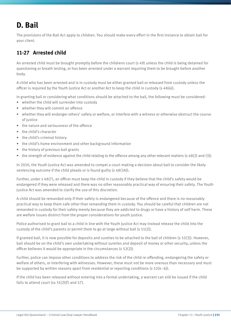# **D. Bail**

The provisions of the Bail Act apply to children. You should make every effort in the first instance to obtain bail for your client.

# **11-27 Arrested child**

An arrested child must be brought promptly before the childrens court (s 49) unless the child is being detained for questioning or breath testing, or has been arrested under a warrant requiring them to be brought before another body.

A child who has been arrested and is in custody must be either granted bail or released from custody unless the officer is required by the Youth Justice Act or another Act to keep the child in custody (s 48(4)).

In granting bail or considering what conditions should be attached to the bail, the following must be considered:

- whether the child will surrender into custody
- whether they will commit an offence
- whether they will endanger others' safety or welfare, or interfere with a witness or otherwise obstruct the course of justice
- the nature and seriousness of the offence
- the child's character
- the child's criminal history
- the child's home environment and other background information
- the history of previous bail grants
- $\bullet$  the strength of evidence against the child relating to the offence among any other relevant matters (s 48(2) and (3)).

In 2010, the Youth Justice Act was amended to compel a court making a decision about bail to consider the likely sentencing outcome if the child pleads or is found guilty (s 48(3A)).

Further, under s 48(7), an officer must keep the child in custody if they believe that the child's safety would be endangered if they were released and there was no other reasonably practical way of ensuring their safety. The Youth Justice Act was amended to clarify the use of this discretion.

A child should be remanded only if their safety is endangered because of the offence and there is no reasonably practical way to keep them safe other than remanding them in custody. You should be careful that children are not remanded in custody for their safety merely because they are addicted to drugs or have a history of self harm. These are welfare issues distinct from the proper considerations for youth justice.

Police authorised to grant bail to a child in line with the Youth Justice Act may instead release the child into the custody of the child's parents or permit them to go at large without bail (s 51(2)).

If granted bail, it is now possible for deposits and sureties to be attached to the bail of children (s 52(3)). However, bail should be on the child's own undertaking without sureties and deposit of money or other security, unless the officer believes it would be appropriate in the circumstances (s 52(2)).

Further, police can impose other conditions to address the risk of the child re-offending, endangering the safety or welfare of others, or interfering with witnesses. However, these must not be more onerous than necessary and must be supported by written reasons apart from residential or reporting conditions (s 52(4–6)).

If the child has been released without entering into a formal undertaking, a warrant can still be issued if the child fails to attend court (ss 51(2)(f) and 57).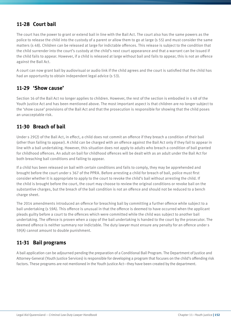#### **11-28 Court bail**

The court has the power to grant or extend bail in line with the Bail Act. The court also has the same powers as the police to release the child into the custody of a parent or allow them to go at large (s 55) and must consider the same matters (s 48). Children can be released at large for indictable offences. This release is subject to the condition that the child surrender into the court's custody at the child's next court appearance and that a warrant can be issued if the child fails to appear. However, if a child is released at large without bail and fails to appear, this is not an offence against the Bail Act.

A court can now grant bail by audiovisual or audio link if the child agrees and the court is satisfied that the child has had an opportunity to obtain independent legal advice (s 53).

#### **11-29 'Show cause'**

Section 16 of the Bail Act no longer applies to children. However, the rest of the section is embodied in s 48 of the Youth Justice Act and has been mentioned above. The most important aspect is that children are no longer subject to the 'show cause' provisions of the Bail Act and that the prosecution is responsible for showing that the child poses an unacceptable risk.

#### **11-30 Breach of bail**

Under s 29(2) of the Bail Act, in effect, a child does not commit an offence if they breach a condition of their bail (other than failing to appear). A child can be charged with an offence against the Bail Act only if they fail to appear in line with a bail undertaking. However, this situation does not apply to adults who breach a condition of bail granted for childhood offences. An adult on bail for childhood offences will be dealt with as an adult under the Bail Act for both breaching bail conditions and failing to appear.

If a child has been released on bail with certain conditions and fails to comply, they may be apprehended and brought before the court under s 367 of the PPRA. Before arresting a child for breach of bail, police must first consider whether it is appropriate to apply to the court to revoke the child's bail without arresting the child. If the child is brought before the court, the court may choose to review the original conditions or revoke bail on the substantive charges, but the breach of the bail condition is not an offence and should not be reduced to a bench charge sheet.

The 2014 amendments introduced an offence for breaching bail by committing a further offence while subject to a bail undertaking (s 59A). This offence is unusual in that the offence is deemed to have occurred when the applicant pleads guilty before a court to the offences which were committed while the child was subject to another bail undertaking. The offence is proven when a copy of the bail undertaking is handed to the court by the prosecutor. The deemed offence is neither summary nor indictable. The duty lawyer must ensure any penalty for an offence under s 59(A) cannot amount to double punishment.

### **11-31 Bail programs**

A bail application can be adjourned pending the preparation of a Conditional Bail Program. The Department of Justice and Attorney-General (Youth Justice Services) is responsible for developing a program that focuses on the child's offending risk factors. These programs are not mentioned in the Youth Justice Act—they have been created by the department.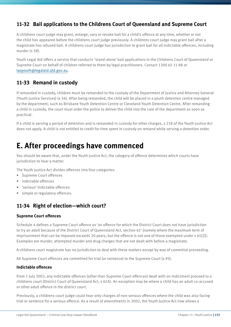## **11-32 Bail applications to the Childrens Court of Queensland and Supreme Court**

A childrens court judge may grant, enlarge, vary or revoke bail for a child's offence at any time, whether or not the child has appeared before the childrens court judge previously. A childrens court judge may grant bail after a magistrate has refused bail. A childrens court judge has jurisdiction to grant bail for all indictable offences, including murder (s 59).

Youth Legal Aid offers a service that conducts 'stand-alone' bail applications in the Childrens Court of Queensland or Supreme Court on behalf of children referred to them by legal practitioners. Contact 1300 65 11 88 or laqyouth@legalaid.qld.gov.au.

#### **11-33 Remand in custody**

If remanded in custody, children must be remanded to the custody of the Department of Justice and Attorney-General (Youth Justice Services) (s 56). After being remanded, the child will be placed in a youth detention centre managed by the department, such as Brisbane Youth Detention Centre or Cleveland Youth Detention Centre. After remanding a child in custody, the court must order the police to deliver the child into the care of the department as soon as practical.

If a child is serving a period of detention and is remanded in custody for other charges, s 218 of the Youth Justice Act does not apply. A child is not entitled to credit for time spent in custody on remand while serving a detention order.

# **E. After proceedings have commenced**

You should be aware that, under the Youth Justice Act, the category of offence determines which courts have jurisdiction to hear a matter.

The Youth Justice Act divides offences into four categories:

- Supreme Court offences
- indictable offences
- 'serious' indictable offences
- simple or regulatory offences.

# **11-34 Right of election—which court?**

#### **Supreme Court offences**

Schedule 4 defines a Supreme Court offence as 'an offence for which the District Court does not have jurisdiction to try an adult because of the District Court of Queensland Act, section 61' (namely where the maximum term of imprisonment that can be imposed exceeds 20 years, but the offence is not one of those exempted under s 61(2)). Examples are murder, attempted murder and drug charges that are not dealt with before a magistrate.

A childrens court magistrate has no jurisdiction to deal with these matters except by way of committal proceeding.

All Supreme Court offences are committed for trial (or sentence) to the Supreme Court (s 95).

#### **Indictable offences**

From 1 July 2003, any indictable offences (other than Supreme Court offences) dealt with on indictment proceed to a childrens court (District Court of Queensland Act, s 61A). An exception may be where a child has an adult co-accused or other adult offence in the district court.

Previously, a childrens court judge could hear only charges of non-serious offences where the child was also facing trial or sentence for a serious offence. As a result of amendments in 2002, the Youth Justice Act now allows a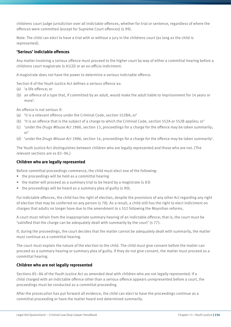childrens court judge jurisdiction over all indictable offences, whether for trial or sentence, regardless of where the offences were committed (except for Supreme Court offences) (s 99).

Note: The child can elect to have a trial with or without a jury in the childrens court (as long as the child is represented).

#### **'Serious' indictable offences**

Any matter involving a serious offence must proceed to the higher court by way of either a committal hearing before a childrens court magistrate (s 81(2)) or an ex-officio indictment.

A magistrate does not have the power to determine a serious indictable offence.

Section 8 of the Youth Justice Act defines a serious offence as:

- (a) 'a life offence; or
- (b) an offence of a type that, if committed by an adult, would make the adult liable to imprisonment for 14 years or more'.

An offence is not serious if:

- (a) 'it is a relevant offence under the Criminal Code, section 552BA; or'
- (b) 'it is an offence that is the subject of a charge to which the Criminal Code, section 552A or 552B applies; or'
- (c) 'under the *Drugs Misuse Act 1986*, section 13, proceedings for a charge for the offence may be taken summarily; or'
- (d) 'under the *Drugs Misuse Act 1986*, section 14, proceedings for a charge for the offence may be taken summarily'.

The Youth Justice Act distinguishes between children who are legally represented and those who are not. (The relevant sections are ss 82–96.)

#### **Children who are legally represented**

Before committal proceedings commence, the child must elect one of the following:

- the proceedings will be held as a committal hearing
- the matter will proceed as a summary trial to be heard by a magistrate (s 83)
- the proceedings will be heard as a summary plea of guilty (s 90).

For indictable offences, the child has the right of election, despite the provisions of any other Act regarding any right of election that may be conferred on any person (s 78). As a result, a child still has the right to elect indictment on charges that adults no longer have due to the amendment to s 552 following the Moynihan reforms.

A court must refrain from the inappropriate summary hearing of an indictable offence; that is, the court must be 'satisfied that the charge can be adequately dealt with summarily by the court' (s 77).

If, during the proceedings, the court decides that the matter cannot be adequately dealt with summarily, the matter must continue as a committal hearing.

The court must explain the nature of the election to the child. The child must give consent before the matter can proceed as a summary hearing or summary plea of guilty. If they do not give consent, the matter must proceed as a committal hearing.

#### **Children who are not legally represented**

Sections 85–86 of the Youth Justice Act as amended deal with children who are not legally represented. If a child charged with an indictable offence other than a serious offence appears unrepresented before a court, the proceedings must be conducted as a committal proceeding.

After the prosecution has put forward all evidence, the child can elect to have the proceedings continue as a committal proceeding or have the matter heard and determined summarily.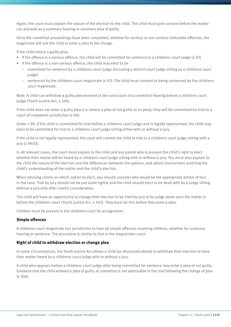Again, the court must explain the nature of the election to the child. The child must give consent before the matter can proceed as a summary hearing or summary plea of guilty.

Once the committal proceedings have been completed, whether for serious or non-serious indictable offences, the magistrate will ask the child to enter a plea to the charge.

If the child enters a guilty plea:

- if the offence is a serious offence, the child will be committed for sentence to a childrens court judge (s 92)
- if the offence is a non-serious offence, the child may elect to be
	- committed for sentence by a childrens court judge (including a district court judge sitting as a childrens court judge)
	- sentenced by the childrens court magistrate (s 93). The child must consent to being sentenced by the childrens court magistrate.

Note: A child can withdraw a guilty plea entered at the conclusion of a committal hearing before a childrens court judge (Youth Justice Act, s 106).

If the child does not enter a guilty plea (i.e. enters a plea of not guilty or no plea), they will be committed for trial to a court of competent jurisdiction (s 96).

Under s 98, if the child is committed for trial before a childrens court judge and is legally represented, the child may elect to be committed for trial to a childrens court judge sitting either with or without a jury.

If the child is not legally represented, the court will commit the child to trial to a childrens court judge sitting with a jury (s 98(5)).

In all relevant cases, the court must explain to the child and any parent who is present the child's right to elect whether their matter will be heard by a childrens court judge sitting with or without a jury. You must also explain to the child the nature of the election and the differences between the options, and obtain instructions outlining the child's understanding of the matter and the child's election.

When advising clients on which option to elect, you should consider who would be the appropriate arbiter of fact in the case. Trial by jury should not be put aside lightly and the child should elect to be dealt with by a judge sitting without a jury only after careful consideration.

The child will have an opportunity to change their election to be tried by jury or by judge alone once the matter is before the childrens court (Youth Justice Act, s 103). They must do this before they enter a plea.

Children must be present in the childrens court for arraignment.

#### **Simple offences**

A childrens court magistrate has jurisdiction to hear all simple offences involving children, whether for summary hearing or sentence. The procedure is similar to that in the magistrates court.

#### **Right of child to withdraw election or change plea**

In some circumstances, the Youth Justice Act allows a child (as discussed above) to withdraw their election to have their matter heard by a childrens court judge with or without a jury.

A child who appears before a childrens court judge after being committed for sentence may enter a plea of not guilty. Evidence that the child entered a plea of guilty at committal is not admissible in the trial following the change of plea (s 106).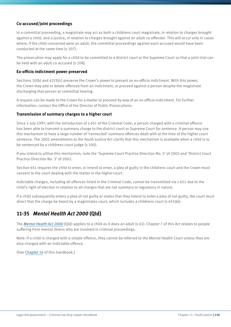#### **Co-accused/joint proceedings**

In a committal proceeding, a magistrate may act as both a childrens court magistrate, in relation to charges brought against a child, and a justice, in relation to charges brought against an adult co-offender. This will occur only in cases where, if the child concerned were an adult, the committal proceedings against each accused would have been conducted at the same time (s 107).

The prosecution may apply for a child to be committed to a district court or the Supreme Court so that a joint trial can be held with an adult co-accused (s 108).

#### **Ex-officio indictment power preserved**

Sections 10(b) and 42(3)(c) preserve the Crown's power to present an ex-officio indictment. With this power, the Crown may add or delete offences from an indictment, or proceed against a person despite the magistrate discharging that person at committal hearing.

A request can be made to the Crown for a matter to proceed by way of an ex-officio indictment. For further information, contact the Office of the Director of Public Prosecutions.

#### **Transmission of summary charges to a higher court**

Since 1 July 1997, with the introduction of s 651 of the Criminal Code, a person charged with a criminal offence has been able to transmit a summary charge to the district court or Supreme Court for sentence. A person may use this mechanism to have a large number of 'connected' summary offences dealt with at the time of the higher court sentence. The 2002 amendments to the Youth Justice Act clarify that this mechanism is available when a child is to be sentenced by a childrens court judge (s 100).

If you intend to utilise this mechanism, note the 'Supreme Court Practice Direction No. 5' of 2002 and 'District Court Practice Direction No. 3' of 2002.

Section 651 requires the child to enter, or intend to enter, a plea of guilty in the childrens court and the Crown must consent to the court dealing with the matter in the higher court.

Indictable charges, including all offences listed in the Criminal Code, cannot be transmitted via s 651 due to the child's right of election in relation to all charges that are not summary or regulatory in nature.

If a child subsequently enters a plea of not guilty or states that they intend to enter a plea of not guilty, the court must direct that the charge be heard by a magistrates court, which includes a childrens court (s 651(6)).

#### **11-35** *Mental Health Act 2000* **(Qld)**

The *Mental Health Act 2000* (Qld) applies to a child as it does an adult (s 61). Chapter 7 of this Act relates to people suffering from mental illness who are involved in criminal proceedings.

Note: If a child is charged with a simple offence, they cannot be referred to the Mental Health Court unless they are also charged with an indictable offence.

(See Chapter 14 of this handbook.)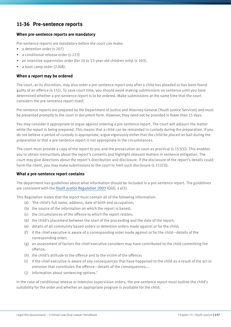#### **11-36 Pre-sentence reports**

#### **When pre-sentence reports are mandatory**

Pre-sentence reports are mandatory before the court can make:

- a detention order (s 207)
- a conditional release order (s 223)
- an intensive supervision order (for 10 to 13-year-old children only) (s 203).
- a boot camp order (226B).

#### **When a report may be ordered**

The court, at its discretion, may also order a pre-sentence report only after a child has pleaded or has been found guilty of an offence (s 151). To save court time, you should avoid making submissions on sentence until you have determined whether a pre-sentence report is to be ordered. Make submissions at the same time that the court considers the pre-sentence report itself.

Pre-sentence reports are prepared by the Department of Justice and Attorney-General (Youth Justice Services) and must be presented promptly to the court in document form. However, they need not be provided in fewer than 15 days.

You may consider it appropriate to argue against ordering a pre-sentence report. The court will adjourn the matter while the report is being prepared. This means that a child can be remanded in custody during the preparation. If you do not believe a period of custody is appropriate, argue vigorously either that the child be placed on bail during the preparation or that a pre-sentence report is not appropriate in the circumstances.

The court must provide a copy of the report to you and the prosecution as soon as practical (s 153(1)). This enables you to obtain instructions about the report's contents and highlight relevant matters in sentence mitigation. The court may give directions about the report's distribution and disclosure. If the disclosure of the report's details could harm the client, you may make submissions to the court to limit such disclosure (s 153(3)).

#### **What a pre-sentence report contains**

The department has guidelines about what information should be included in a pre-sentence report. The guidelines are consistent with the *Youth Justice Regulation 2003* (Qld), s 6(1).

This Regulation states that the report must contain all of the following information:

- (a) 'the child's full name, address, date of birth and occupation;
- (b) the source of the information on which the report is based;
- (c) the circumstances of the offence to which the report relates;
- (d) the child's placement between the start of the proceeding and the date of the report;
- (e) details of all community based orders or detention orders made against or for the child;
- (f) if the chief executive is aware of a corresponding order made against or for the child—details of the corresponding order;
- (g) an assessment of factors the chief executive considers may have contributed to the child committing the offence;
- (h) the child's attitude to the offence and to the victim of the offence;
- (i) if the chief executive is aware of any consequences that have happened to the child as a result of the act or omission that constitutes the offence—details of the consequences;...
- (j) information about sentencing options.'

In the case of conditional release or intensive supervision orders, the pre-sentence report must outline the child's suitability for the order and whether an appropriate program is available for the child.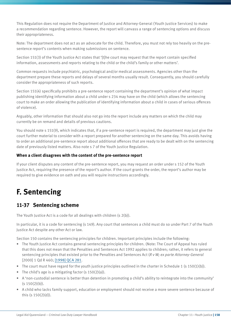This Regulation does not require the Department of Justice and Attorney-General (Youth Justice Services) to make a recommendation regarding sentence. However, the report will canvass a range of sentencing options and discuss their appropriateness.

Note: The department does not act as an advocate for the child. Therefore, you must not rely too heavily on the presentence report's contents when making submissions on sentence.

Section 151(3) of the Youth Justice Act states that '[t]he court may request that the report contain specified information, assessments and reports relating to the child or the child's family or other matters'.

Common requests include psychiatric, psychological and/or medical assessments. Agencies other than the department prepare these reports and delays of several months usually result. Consequently, you should carefully consider the appropriateness of such reports.

Section 151(4) specifically prohibits a pre-sentence report containing the department's opinion of what impact publishing identifying information about a child under s 234 may have on the child (which allows the sentencing court to make an order allowing the publication of identifying information about a child in cases of serious offences of violence).

Arguably, other information that should also not go into the report include any matters on which the child may currently be on remand and details of previous cautions.

You should note s 151(9), which indicates that, if a pre-sentence report is required, the department may just give the court further material to consider with a report prepared for another sentencing on the same day. This avoids having to order an additional pre-sentence report about additional offences that are ready to be dealt with on the sentencing date of previously listed matters. Also note s 7 of the Youth Justice Regulation.

#### **When a client disagrees with the content of the pre-sentence report**

If your client disputes any content of the pre-sentence report, you may request an order under s 152 of the Youth Justice Act, requiring the presence of the report's author. If the court grants the order, the report's author may be required to give evidence on oath and you will require instructions accordingly.

# **F. Sentencing**

#### **11-37 Sentencing scheme**

The Youth Justice Act is a code for all dealings with children (s 2(b)).

In particular, it is a code for sentencing (s 149). Any court that sentences a child must do so under Part 7 of the Youth Justice Act despite any other Act or law.

Section 150 contains the sentencing principles for children. Important principles include the following:

- The Youth Justice Act contains general sentencing principles for children. (Note: The Court of Appeal has ruled that this does not mean that the Penalties and Sentences Act 1992 applies to children; rather, it refers to general sentencing principles that existed prior to the Penalties and Sentences Act (*R v W; ex parte Attorney-General* [2000] 1 Qd R 460; [1998] QCA 281.
- The court must have regard for the youth justice principles outlined in the charter in Schedule 1 (s 150(1)(b)).
- The child's age is a mitigating factor  $(s 150(2)(a))$ .
- A 'non-custodial sentence is better than detention in promoting a child's ability to reintegrate into the community'  $(s 150(2)(b)).$
- A child who lacks family support, education or employment should not receive a more severe sentence because of this (s 150(2)(d)).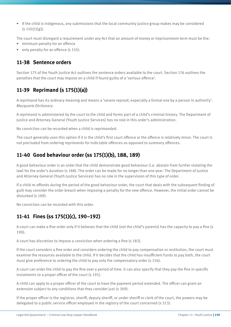• If the child is indigenous, any submissions that the local community justice group makes may be considered  $(s 150(1)(g))$ .

The court must disregard a requirement under any Act that an amount of money or imprisonment term must be the:

- minimum penalty for an offence
- only penalty for an offence (s 155).

#### **11-38 Sentence orders**

Section 175 of the Youth Justice Act outlines the sentence orders available to the court. Section 176 outlines the penalties that the court may impose on a child if found guilty of a 'serious offence'.

### **11-39 Reprimand (s 175(1)(a))**

A reprimand has its ordinary meaning and means a 'severe reproof, especially a formal one by a person in authority'. *Macquarie Dictionary*.

A reprimand is administered by the court to the child and forms part of a child's criminal history. The Department of Justice and Attorney-General (Youth Justice Services) has no role in this order's administration.

No conviction can be recorded when a child is reprimanded.

The court generally uses this option if it is the child's first court offence or the offence is relatively minor. The court is not precluded from ordering reprimands for indictable offences as opposed to summary offences.

#### **11-40 Good behaviour order (ss 175(1)(b), 188, 189)**

A good behaviour order is an order that the child demonstrate good behaviour (i.e. abstain from further violating the law) for the order's duration (s 188). The order can be made for no longer than one year. The Department of Justice and Attorney-General (Youth Justice Services) has no role in the supervision of this type of order.

If a child re-offends during the period of the good behaviour order, the court that deals with the subsequent finding of guilt may consider the order breach when imposing a penalty for the new offence. However, the initial order cannot be disturbed (s 189).

No conviction can be recorded with this order.

# **11-41 Fines (ss 175(1)(c), 190–192)**

A court can make a fine order only if it believes that the child (not the child's parents) has the capacity to pay a fine (s 190).

A court has discretion to impose a conviction when ordering a fine (s 183).

If the court considers a fine order and considers ordering the child to pay compensation or restitution, the court must examine the resources available to the child. If it decides that the child has insufficient funds to pay both, the court must give preference to ordering the child to pay only the compensatory order (s 156).

A court can order the child to pay the fine over a period of time. It can also specify that they pay the fine in specific instalments to a proper officer of the court (s 191).

A child can apply to a proper officer of the court to have the payment period extended. The officer can grant an extension subject to any conditions that they consider just (s 309).

If the proper officer is the registrar, sheriff, deputy sheriff, or under sheriff or clerk of the court, the powers may be delegated to a public service officer employed in the registry of the court concerned (s 313).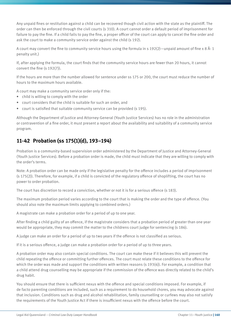Any unpaid fines or restitution against a child can be recovered though civil action with the state as the plaintiff. The order can then be enforced through the civil courts (s 310). A court cannot order a default period of imprisonment for failure to pay the fine. If a child fails to pay the fine, a proper officer of the court can apply to cancel the fine order and ask the court to make a community service order against the child (s 192).

A court may convert the fine to community service hours using the formula in s 192(2)—unpaid amount of fine x 8  $\tilde{A}$  · 1 penalty unit.)

If, after applying the formula, the court finds that the community service hours are fewer than 20 hours, it cannot convert the fine (s 192(7)).

If the hours are more than the number allowed for sentence under ss 175 or 200, the court must reduce the number of hours to the maximum hours available.

A court may make a community service order only if the:

- child is willing to comply with the order
- court considers that the child is suitable for such an order, and
- court is satisfied that suitable community service can be provided (s 195).

Although the Department of Justice and Attorney-General (Youth Justice Services) has no role in the administration or contravention of a fine order, it must present a report about the availability and suitability of a community service program.

# **11-42 Probation (ss 175(1)(d), 193–194)**

Probation is a community-based supervision order administered by the Department of Justice and Attorney-General (Youth Justice Services). Before a probation order is made, the child must indicate that they are willing to comply with the order's terms.

Note: A probation order can be made only if the legislative penalty for the offence includes a period of imprisonment (s 175(2)). Therefore, for example, if a child is convicted of the regulatory offence of shoplifting, the court has no power to order probation.

The court has discretion to record a conviction, whether or not it is for a serious offence (s 183).

The maximum probation period varies according to the court that is making the order and the type of offence. (You should also note the maximum limits applying to combined orders.)

A magistrate can make a probation order for a period of up to one year.

After finding a child guilty of an offence, if the magistrate considers that a probation period of greater than one year would be appropriate, they may commit the matter to the childrens court judge for sentencing (s 186).

A judge can make an order for a period of up to two years if the offence is not classified as serious.

If it is a serious offence, a judge can make a probation order for a period of up to three years.

A probation order may also contain special conditions. The court can make these if it believes this will prevent the child repeating the offence or committing further offences. The court must relate these conditions to the offence for which the order was made and support the conditions with written reasons (s 193(4)). For example, a condition that a child attend drug counselling may be appropriate if the commission of the offence was directly related to the child's drug habit.

You should ensure that there is sufficient nexus with the offence and special conditions imposed. For example, if de facto parenting conditions are included, such as a requirement to do household chores, you may advocate against that inclusion. Conditions such as drug and alcohol rehabilitation, family counselling or curfews may also not satisfy the requirements of the Youth Justice Act if there is insufficient nexus with the offence before the court.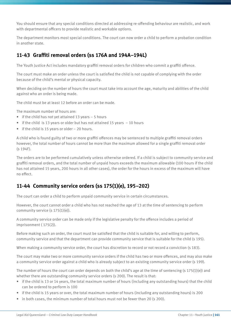You should ensure that any special conditions directed at addressing re-offending behaviour are realistic, and work with departmental officers to provide realistic and workable options.

The department monitors most special conditions. The court can now order a child to perform a probation condition in another state.

### **11-43 Graffiti removal orders (ss 176A and 194A–194L)**

The Youth Justice Act includes mandatory graffiti removal orders for children who commit a graffiti offence.

The court must make an order unless the court is satisfied the child is not capable of complying with the order because of the child's mental or physical capacity.

When deciding on the number of hours the court must take into account the age, maturity and abilities of the child against who an order is being made.

The child must be at least 12 before an order can be made.

The maximum number of hours are:

- if the child has not yet attained 13 years 5 hours
- if the child is 13 years or older but has not attained 15 years 10 hours
- if the child is 15 years or older 20 hours.

A child who is found guilty of two or more graffiti offences may be sentenced to multiple graffiti removal orders however, the total number of hours cannot be more than the maximum allowed for a single graffiti removal order (s 194F).

The orders are to be performed cumulatively unless otherwise ordered. If a child is subject to community service and graffiti removal orders, and the total number of unpaid hours exceeds the maximum allowable (100 hours if the child has not attained 15 years, 200 hours in all other cases), the order for the hours in excess of the maximum will have no effect.

### **11-44 Community service orders (ss 175(1)(e), 195–202)**

The court can order a child to perform unpaid community service in certain circumstances.

However, the court cannot order a child who has not reached the age of 13 at the time of sentencing to perform community service (s 175(1)(e)).

A community service order can be made only if the legislative penalty for the offence includes a period of imprisonment ( 175(2)).

Before making such an order, the court must be satisfied that the child is suitable for, and willing to perform, community service and that the department can provide community service that is suitable for the child (s 195).

When making a community service order, the court has discretion to record or not record a conviction (s 183).

The court may make two or more community service orders if the child has two or more offences, and may also make a community service order against a child who is already subject to an existing community service order (s 199).

The number of hours the court can order depends on both the child's age at the time of sentencing (s 175(1)(e)) and whether there are outstanding community service orders (s 200). The result is that:

- if the child is 13 or 14 years, the total maximum number of hours (including any outstanding hours) that the child can be ordered to perform is 100
- if the child is 15 years or over, the total maximum number of hours (including any outstanding hours) is 200
- in both cases, the minimum number of total hours must not be fewer than 20 (s 200).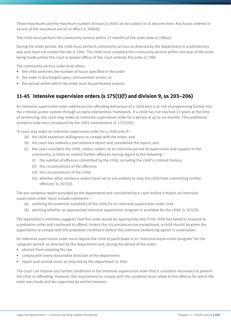These maximums are the maximum number of hours a child can be subject to at any one time. Any hours ordered in excess of the maximum are of no effect (s 200(4)).

The child must perform the community service within 12 months of the order date (s 198(a)).

During the order period, the child must perform community service as directed by the department in a satisfactory way and must not violate the law (s 196). The child must complete the community service within one year of the order being made unless the court or proper officer of the court extends the order (s 198).

The community service order ends when:

- the child performs the number of hours specified in the order
- the order is discharged upon contravention action, or
- the period within which the order must be performed expires.

# **11-45 Intensive supervision orders (s 175(1)(f) and division 9, ss 203–206)**

An intensive supervision order addresses the offending behaviour of a child who is at risk of progressing further into the criminal justice system through an early intervention framework. If a child has not reached 13 years at the time of sentencing, the court may make an intensive supervision order for a period of up to six months. This additional sentence order was introduced by the 2002 amendments (s 175(1)(f)).

'A court may make an intensive supervision order for a child only if—

- (a) the child expresses willingness to comply with the order; and
- (b) the court has ordered a pre-sentence report and considered the report; and
- (c) the court considers the child, unless subject to an intensive period of supervision and support in the community, is likely to commit further offences having regard to the following—
	- (i) the number of offences committed by the child, including the child's criminal history;
	- (ii) the circumstances of the offences;
	- (iii) the circumstances of the child;
	- (iv) whether other sentence orders have not or are unlikely to stop the child from committing further offences' (s 203(1)).

The pre-sentence report provided by the department and considered by a court before it makes an intensive supervision order 'must include comments—

- (a) outlining the potential suitability of the child for an intensive supervision order; and
- (b) advising whether an appropriate intensive supervision program is available for the child' (s 203(2)).

The legislation's intention suggests that this order would be appropriate only if the child has failed to respond to a probation order and continued to offend. Unless the circumstances are exceptional, a child should be given the opportunity to comply with the probation conditions before this intensive sentencing option is undertaken.

An intensive supervision order must require the child to participate in an 'intensive supervision program' for the 'program period' as directed by the department and, during the period of the order:

- abstain from violating the law
- comply with every reasonable direction of the department
- report and receive visits as directed by the department (s 204).

The court can impose any further conditions in the intensive supervision order that it considers necessary to prevent the child re-offending. However, the requirement to comply with the condition must relate to the offence for which the order was made and be supported by written reasons.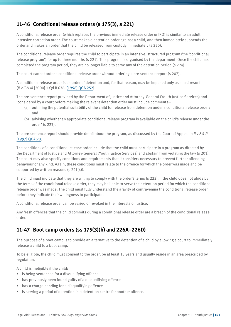# **11-46 Conditional release orders (s 175(3), s 221)**

A conditional release order (which replaces the previous immediate release order or IRO) is similar to an adult intensive correction order. The court makes a detention order against a child, and then immediately suspends the order and makes an order that the child be released from custody immediately (s 220).

The conditional release order requires the child to participate in an intensive, structured program (the 'conditional release program') for up to three months (s 221). This program is organised by the department. Once the child has completed the program period, they are no longer liable to serve any of the detention period (s 224).

The court cannot order a conditional release order without ordering a pre-sentence report (s 207).

A conditional release order is an order of detention and, for that reason, may be imposed only as a last resort (*R v C & M* [2000] 1 Qd R 636; [1998] QCA 252).

The pre-sentence report provided by the Department of Justice and Attorney-General (Youth Justice Services) and 'considered by a court before making the relevant detention order must include comments—

- (a) outlining the potential suitability of the child for release from detention under a conditional release order; and
- (b) advising whether an appropriate conditional release program is available on the child's release under the order' (s 223).

The pre-sentence report should provide detail about the program, as discussed by the Court of Appeal in *R v F & P*  [1997] QCA 98.

The conditions of a conditional release order include that the child must participate in a program as directed by the Department of Justice and Attorney-General (Youth Justice Services) and abstain from violating the law (s 201). The court may also specify conditions and requirements that it considers necessary to prevent further offending behaviour of any kind. Again, these conditions must relate to the offence for which the order was made and be supported by written reasons (s 221(4)).

The child must indicate that they are willing to comply with the order's terms (s 222). If the child does not abide by the terms of the conditional release order, they may be liable to serve the detention period for which the conditional release order was made. The child must fully understand the gravity of contravening the conditional release order before they indicate their willingness to participate.

A conditional release order can be varied or revoked in the interests of justice.

Any fresh offences that the child commits during a conditional release order are a breach of the conditional release order.

### **11-47 Boot camp orders (ss 175(3)(b) and 226A–226D)**

The purpose of a boot camp is to provide an alternative to the detention of a child by allowing a court to immediately release a child to a boot camp.

To be eligible, the child must consent to the order, be at least 13 years and usually reside in an area prescribed by regulation.

A child is ineligible if the child:

- is being sentenced for a disqualifying offence
- has previously been found guilty of a disqualifying offence
- has a charge pending for a disqualifying offence
- is serving a period of detention in a detention centre for another offence.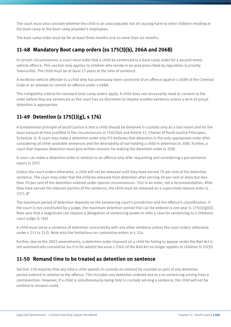The court must also consider whether the child is an unacceptable risk of causing harm to other children residing at the boot camp or the boot camp provider's employees.

The boot camp order must be for at least three months and no more than six months.

# **11-48 Mandatory Boot camp orders (ss 175(3)(b), 206A and 206B)**

In certain circumstances, a court must order that a child be sentenced to a boot camp order for a second motor vehicle offence. This section only applies to children who reside in an area prescribed by regulation (currently Townsville). The child must be at least 13 years at the time of sentence.

A recidivist vehicle offender is a child who has previously been convicted of an offence against s 408A of the Criminal Code or an attempt to commit an offence under s 408A.

The ineligibility criteria for standard boot camp orders apply. A child does not necessarily need to consent to the order before they are sentenced as the court has no discretion to impose another sentence unless a term of actual detention is appropriate.

# **11-49 Detention (s 175(1)(g), s 176)**

A fundamental principle of youth justice is that a child should be detained in custody only as a last resort and for the least amount of time justified in the circumstances (s 150(2)(a) and Article 17, Charter of Youth Justice Principles, Schedule 1). A court may make a detention order only if it believes that detention is the only appropriate order after considering all other available sentences and the desirability of not holding a child in detention (s 208). Further, a court that imposes detention must give written reasons for making the detention order (s 209).

A court can make a detention order in relation to an offence only after requesting and considering a pre-sentence report (s 207).

Unless the court orders otherwise, a child will not be released until they have served 70 per cent of the detention sentence. The court may order that the child be released from detention after serving 50 per cent or more but less than 70 per cent of the detention ordered under special circumstances. This is an order, not a recommendation. After they have served the relevant portion of the sentence, the child must be released on a supervised release order (s 227).Æ'

The maximum period of detention depends on the sentencing court's jurisdiction and the offence's classification. If the court is not constituted by a judge, the maximum detention period that can be ordered is one year (s  $175(1)(g)(i)$ ). Note also that a magistrate can request a delegation of sentencing power or refer a case for sentencing to a childrens court judge (s 186)

A child must serve a sentence of detention concurrently with any other sentence unless the court orders otherwise under s 213 (s 212). Note also the limitations on cumulative orders in s 214.

Further, due to the 2003 amendments, a detention order imposed on a child for failing to appear under the Bail Act is not automatically cumulative (as it is for adults) because s 33(4) of the Bail Act no longer applies to children (s 33(5)).

#### **11-50 Remand time to be treated as detention on sentence**

Section 218 requires that any time a child spends in custody on remand be counted as part of any detention period ordered in relation to the offence. This includes any detention ordered due to a re-sentencing arising from a contravention. However, if a child is simultaneously being held in custody serving a sentence, the child will not be entitled to remand credit.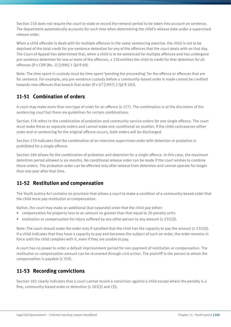Section 218 does not require the court to state or record the remand period to be taken into account on sentence. The department automatically accounts for such time when determining the child's release date under a supervised release order.

When a child offender is dealt with for multiple offences in the same sentencing exercise, the child is not to be deprived of the total credit for pre-sentence detention for any of the offences that the court deals with on that day. The Court of Appeal has determined that, when a child is to be sentenced for multiple offences and has undergone pre-sentence detention for one or more of the offences, s 218 entitles the child to credit for that detention for all offences (*R v CDR* (No. 2) [1996] 1 Qd R 69).

Note: The time spent in custody must be time spent 'pending the proceeding' for the offence or offences that are for sentence. For example, any pre-sentence custody before a community-based order is made cannot be credited towards new offences that breach that order (*R v GT* [1997] 2 Qd R 183).

### **11-51 Combination of orders**

A court may make more than one type of order for an offence (s 177). The combination is at the discretion of the sentencing court but there are guidelines for certain combinations.

Section 178 refers to the combination of probation and community service orders for one single offence. The court must make these as separate orders and cannot make one conditional on another. If the child contravenes either order and re-sentencing for the original offence occurs, both orders will be discharged.

Section 179 indicates that the combination of an intensive supervision order with detention or probation is prohibited for a single offence.

Section 180 allows for the combination of probation and detention for a single offence. In this case, the maximum detention period allowed is six months. No conditional release order can be made if the court wishes to combine these orders. The probation order can be effected only after release from detention and cannot operate for longer than one year after that time.

### **11-52 Restitution and compensation**

The Youth Justice Act contains no provision that allows a court to make a condition of a community-based order that the child must pay restitution or compensation.

Rather, the court may make an additional (but separate) order that the child pay either:

- compensation for property loss to an amount no greater than that equal to 20 penalty units
- restitution or compensation for injury suffered by any other person to any amount (s 235(2)).

Note: The court should make the order only if satisfied that the child has the capacity to pay the amount (s 235(5)). If a child indicates that they have a capacity to pay and becomes the subject of such an order, the order remains in force until the child complies with it, even if they are unable to pay.

A court has no power to order a default imprisonment period for non-payment of restitution or compensation. The restitution or compensation amount can be recovered through civil action. The plaintiff is the person to whom the compensation is payable (s 310).

#### **11-53 Recording convictions**

Section 183 clearly indicates that a court cannot record a conviction against a child except where the penalty is a fine, community-based order or detention (s 183(2) and (3)).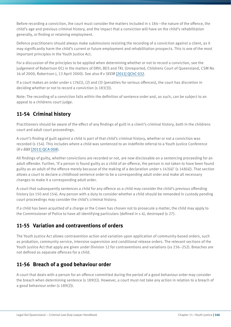Before recording a conviction, the court must consider the matters included in s 184—the nature of the offence, the child's age and previous criminal history, and the impact that a conviction will have on the child's rehabilitation generally, or finding or retaining employment.

Defence practitioners should always make submissions resisting the recording of a conviction against a client, as it may significantly harm the child's current or future employment and rehabilitation prospects. This is one of the most important principles in the Youth Justice Act.

For a discussion of the principles to be applied when determining whether or not to record a conviction, see the judgement of Robertson DCJ in the matters of DRH, BES and TKL (Unreported, Childrens Court of Queensland, CSM No 16 of 2000, Robertson J, 13 April 2000). See also *R v SEEM* [2011] QChC 032.

If a court makes an order under s 176(1), (2) and (3) (penalties for serious offences), the court has discretion in deciding whether or not to record a conviction (s 183(3)).

Note: The recording of a conviction falls within the definition of sentence order and, as such, can be subject to an appeal to a childrens court judge.

# **11-54 Criminal history**

Practitioners should be aware of the effect of any findings of guilt in a client's criminal history, both in the childrens court and adult court proceedings.

A court's finding of guilt against a child is part of that child's criminal history, whether or not a conviction was recorded (s 154). This includes where a child was sentenced to an indefinite referral to a Youth Justice Conference (*R v BBX* [2011] QCA 008).

All findings of guilty, whether convictions are recorded or not, are now disclosable on a sentencing proceeding for an adult offender. Further, 'if a person is found guilty as a child of an offence, the person is not taken to have been found guilty as an adult of the offence merely because of the making of a declaration under s 143(4)' (s 148(4)). That section allows a court to declare a childhood sentence order to be a corresponding adult order and make all necessary changes to make it a corresponding adult order.

A court that subsequently sentences a child for any offence as a child may consider the child's previous offending history (ss 150 and 154). Any person with a duty to consider whether a child should be remanded in custody pending court proceedings may consider the child's criminal history.

If a child has been acquitted of a charge or the Crown has chosen not to prosecute a matter, the child may apply to the Commissioner of Police to have all identifying particulars (defined in s 4), destroyed (s 27).

### **11-55 Variation and contraventions of orders**

The Youth Justice Act allows contravention action and variation upon application of community-based orders, such as probation, community service, intensive supervision and conditional release orders. The relevant sections of the Youth Justice Act that apply are given under Division 12 for contraventions and variations (ss 236–252). Breaches are not defined as separate offences for a child.

### **11-56 Breach of a good behaviour order**

A court that deals with a person for an offence committed during the period of a good behaviour order may consider the breach when determining sentence (s 189(1)). However, a court must not take any action in relation to a breach of a good behaviour order (s 189(2)).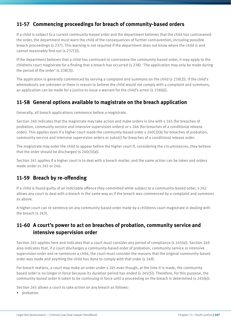### **11-57 Commencing proceedings for breach of community-based orders**

If a child is subject to a current community-based order and the department believes that the child has contravened the order, the department must warn the child of the consequences of further contravention, including possible breach proceedings (s 237). This warning is not required if the department does not know where the child is and cannot reasonably find out (s 237(3)).

If the department believes that a child has continued to contravene the community-based order, it may apply to the childrens court magistrate for a finding that a breach has occurred (s 238). 'The application may only be made during the period of the order' (s 238(3)).

The application is generally commenced by serving a complaint and summons on the child (s 238(2)). If the child's whereabouts are unknown or there is reason to believe the child would not comply with a complaint and summons, an application can be made for a justice to issue a warrant for the child's arrest (s 238(6)).

#### **11-58 General options available to magistrate on the breach application**

Generally, all breach applications commence before a magistrate.

Section 240 indicates that the magistrate may take action and make orders in line with s 245 (for breaches of probation, community service and intensive supervision orders) or s 246 (for breaches of a conditional release order). This applies even if a higher court made the community-based order s 240(3)(b) for breaches of probation, community service and intensive supervision orders or subs(c) for breaches of a conditional release order.

The magistrate may order the child to appear before the higher court if, considering the circumstances, they believe that the order should be discharged (s  $240(3)(a)$ ).

Section 241 applies if a higher court is to deal with a breach matter, and the same action can be taken and orders made under ss 245 or 246.

### **11-59 Breach by re-offending**

If a child is found guilty of an indictable offence they committed while subject to a community-based order, s 242 allows any court to deal with a breach in the same way as if the breach was commenced by a complaint and summons as above.

A higher court can re-sentence on any community-based order made by a childrens court magistrate in dealing with the breach (s 243).

#### **11-60 A court's power to act on breaches of probation, community service and intensive supervision order**

Section 245 applies here and indicates that a court must consider any period of compliance (s 245(4)). Section 249 also indicates that, if a court discharges a community-based order of probation, community service or intensive supervision order and re-sentences a child, the court must consider the reasons that the original community-based order was made and anything the child has done to comply with that order (s 249).

For breach matters, a court may make an order under s 245 even though, at the time it is made, the communitybased order is no longer in force because its duration period has ended (s 245(5)). Therefore, for this purpose, the community-based order is taken to be continuing in force until a proceeding on the breach is determined (s 245(6)).

Section 245 allows a court to take action on any breach as follows:

• probation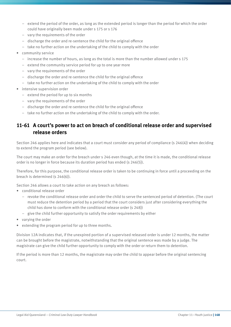- extend the period of the order, as long as the extended period is longer than the period for which the order could have originally been made under s 175 or s 176
- vary the requirements of the order
- discharge the order and re-sentence the child for the original offence
- take no further action on the undertaking of the child to comply with the order
- community service
	- increase the number of hours, as long as the total is more than the number allowed under s 175
	- extend the community service period for up to one year more
	- vary the requirements of the order
	- discharge the order and re-sentence the child for the original offence
	- take no further action on the undertaking of the child to comply with the order
- intensive supervision order
	- extend the period for up to six months
	- vary the requirements of the order
	- discharge the order and re-sentence the child for the original offence
	- take no further action on the undertaking of the child to comply with the order.

#### **11-61 A court's power to act on breach of conditional release order and supervised release orders**

Section 246 applies here and indicates that a court must consider any period of compliance (s 246(4)) when deciding to extend the program period (see below).

The court may make an order for the breach under s 246 even though, at the time it is made, the conditional release order is no longer in force because its duration period has ended (s 246(5)).

Therefore, for this purpose, the conditional release order is taken to be continuing in force until a proceeding on the breach is determined (s 246(6)).

Section 246 allows a court to take action on any breach as follows:

- conditional release order
	- revoke the conditional release order and order the child to serve the sentenced period of detention. (The court must reduce the detention period by a period that the court considers just after considering everything the child has done to conform with the conditional release order (s 248))
	- give the child further opportunity to satisfy the order requirements by either
- varying the order
- extending the program period for up to three months.

Division 12A indicates that, if the unexpired portion of a supervised released order is under 12 months, the matter can be brought before the magistrate, notwithstanding that the original sentence was made by a judge. The magistrate can give the child further opportunity to comply with the order or return them to detention.

If the period is more than 12 months, the magistrate may order the child to appear before the original sentencing court.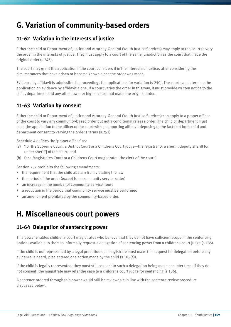# **G. Variation of community-based orders**

#### **11-62 Variation in the interests of justice**

Either the child or Department of Justice and Attorney-General (Youth Justice Services) may apply to the court to vary the order in the interests of justice. They must apply to a court of the same jurisdiction as the court that made the original order (s 247).

The court may grant the application if the court considers it in the interests of justice, after considering the circumstances that have arisen or become known since the order was made.

Evidence by affidavit is admissible in proceedings for applications for variation (s 250). The court can determine the application on evidence by affidavit alone. If a court varies the order in this way, it must provide written notice to the child, department and any other lower or higher court that made the original order.

#### **11-63 Variation by consent**

Either the child or Department of Justice and Attorney-General (Youth Justice Services) can apply to a proper officer of the court to vary any community-based order but not a conditional release order. The child or department must send the application to the officer of the court with a supporting affidavit deposing to the fact that both child and department consent to varying the order's terms (s 252).

Schedule 4 defines the 'proper officer' as:

- (a) 'for the Supreme Court, a District Court or a Childrens Court judge—the registrar or a sheriff, deputy sheriff [or under sheriff] of the court; and
- (b) for a Magistrates Court or a Childrens Court magistrate—the clerk of the court'.

Section 252 prohibits the following amendments:

- the requirement that the child abstain from violating the law
- the period of the order (except for a community service order)
- an increase in the number of community service hours
- a reduction in the period that community service must be performed
- an amendment prohibited by the community-based order.

# **H. Miscellaneous court powers**

#### **11-64 Delegation of sentencing power**

This power enables childrens court magistrates who believe that they do not have sufficient scope in the sentencing options available to them to informally request a delegation of sentencing power from a childrens court judge (s 185).

If the child is not represented by a legal practitioner, a magistrate must make this request for delegation before any evidence is heard, plea entered or election made by the child (s 185(4)).

If the child is legally represented, they must still consent to such a delegation being made at a later time. If they do not consent, the magistrate may refer the case to a childrens court judge for sentencing (s 186).

A sentence ordered through this power would still be reviewable in line with the sentence review procedure discussed below.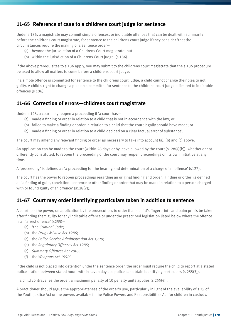### **11-65 Reference of case to a childrens court judge for sentence**

Under s 186, a magistrate may commit simple offences, or indictable offences that can be dealt with summarily before the childrens court magistrate, for sentence to the childrens court judge if they consider 'that the circumstances require the making of a sentence order—

- (a) beyond the jurisdiction of a Childrens Court magistrate; but
- (b) within the jurisdiction of a Childrens Court judge' (s 186).

If the above prerequisites to s 186 apply, you may submit to the childrens court magistrate that the s 186 procedure be used to allow all matters to come before a childrens court judge.

If a simple offence is committed for sentence to the childrens court judge, a child cannot change their plea to not guilty. A child's right to change a plea on a committal for sentence to the childrens court judge is limited to indictable offences (s 106).

### **11-66 Correction of errors—childrens court magistrate**

Under s 128, a court may reopen a proceeding if 'a court has—

- (a) made a finding or order in relation to a child that is not in accordance with the law; or
- (b) failed to make a finding or order in relation to a child that the court legally should have made; or
- (c) made a finding or order in relation to a child decided on a clear factual error of substance'.

The court may amend any relevant finding or order as necessary to take into account (a), (b) and (c) above.

An application can be made to the court (within 28 days or by leave allowed by the court (s128(4)(b)), whether or not differently constituted, to reopen the proceeding or the court may reopen proceedings on its own initiative at any time.

A 'proceeding' is defined as 'a proceeding for the hearing and determination of a charge of an offence' (s127).

The court has the power to reopen proceedings regarding an original finding and order. 'Finding or order' is defined as 'a finding of guilt, conviction, sentence or other finding or order that may be made in relation to a person charged with or found guilty of an offence' (s128(7)).

### **11-67 Court may order identifying particulars taken in addition to sentence**

A court has the power, on application by the prosecution, to order that a child's fingerprints and palm prints be taken after finding them guilty for any indictable offence or under the prescribed legislation listed below where the offence is an 'arrest offence' (s255)—

- (a) 'the *Criminal Code*;
- (b) the *Drugs Misuse Act 1986*;
- (c) the *Police Service Administration Act 1990*;
- (d) the *Regulatory Offences Act 1985*;
- (e) *Summary Offences Act 2005*;
- (f) the *Weapons Act 1990*'.

If the child is not placed into detention under the sentence order, the order must require the child to report at a stated police station between stated hours within seven days so police can obtain identifying particulars (s 255(3)).

If a child contravenes the order, a maximum penalty of 10 penalty units applies (s 255(4)).

A practitioner should argue the appropriateness of the order's use, particularly in light of the availability of s 25 of the Youth Justice Act or the powers available in the Police Powers and Responsibilities Act for children in custody.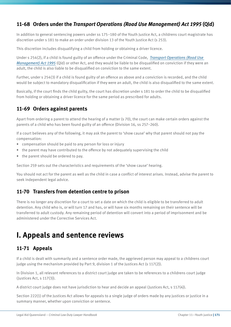### **11-68 Orders under the** *Transport Operations (Road Use Management) Act 1995* **(Qld)**

In addition to general sentencing powers under ss 175–180 of the Youth Justice Act, a childrens court magistrate has discretion under s 181 to make an order under division 13 of the Youth Justice Act (s 253).

This discretion includes disqualifying a child from holding or obtaining a driver licence.

Under s 254(2), if a child is found guilty of an offence under the Criminal Code, *Transport Operations (Road Use Management) Act 1995* (Qld) or other Act, and they would be liable to be disqualified on conviction if they were an adult, the child is also liable to be disqualified on conviction to the same extent.

Further, under s 254(3) if a child is found guilty of an offence as above and a conviction is recorded, and the child would be subject to mandatory disqualification if they were an adult, the child is also disqualified to the same extent.

Basically, if the court finds the child guilty, the court has discretion under s 181 to order the child to be disqualified from holding or obtaining a driver licence for the same period as prescribed for adults.

# **11-69 Orders against parents**

Apart from ordering a parent to attend the hearing of a matter (s 70), the court can make certain orders against the parents of a child who has been found guilty of an offence (Division 16, ss 257–260).

If a court believes any of the following, it may ask the parent to 'show cause' why that parent should not pay the compensation:

- compensation should be paid to any person for loss or injury
- the parent may have contributed to the offence by not adequately supervising the child
- the parent should be ordered to pay.

Section 259 sets out the characteristics and requirements of the 'show cause' hearing.

You should not act for the parent as well as the child in case a conflict of interest arises. Instead, advise the parent to seek independent legal advice.

### **11-70 Transfers from detention centre to prison**

There is no longer any discretion for a court to set a date on which the child is eligible to be transferred to adult detention. Any child who is, or will turn 17 and has, or will have six months remaining on their sentence will be transferred to adult custody. Any remaining period of detention will convert into a period of imprisonment and be administered under the Corrective Services Act.

# **I. Appeals and sentence reviews**

### **11-71 Appeals**

If a child is dealt with summarily and a sentence order made, the aggrieved person may appeal to a childrens court judge using the mechanism provided by Part 9, division 1 of the Justices Act (s 117(2)).

In Division 1, all relevant references to a district court judge are taken to be references to a childrens court judge (Justices Act, s 117(3)).

A district court judge does not have jurisdiction to hear and decide an appeal (Justices Act, s 117(4)).

Section 222(1) of the Justices Act allows for appeals to a single judge of orders made by any justices or justice in a summary manner, whether upon conviction or sentence.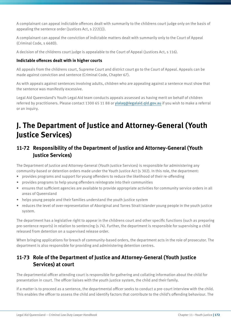A complainant can appeal indictable offences dealt with summarily to the childrens court judge only on the basis of appealing the sentence order (Justices Act, s 222(1)).

A complainant can appeal the conviction of indictable matters dealt with summarily only to the Court of Appeal (Criminal Code, s 668D).

A decision of the childrens court judge is appealable to the Court of Appeal (Justices Act, s 116).

#### **Indictable offences dealt with in higher courts**

All appeals from the childrens court, Supreme Court and district court go to the Court of Appeal. Appeals can be made against conviction and sentence (Criminal Code, Chapter 67).

As with appeals against sentences involving adults, children who are appealing against a sentence must show that the sentence was manifestly excessive.

Legal Aid Queensland's Youth Legal Aid team conducts appeals assessed as having merit on behalf of children referred by practitioners. Please contact 1300 65 11 88 or ylalaq@legalaid.qld.gov.au if you wish to make a referral or an inquiry.

# **J. The Department of Justice and Attorney-General (Youth Justice Services)**

### **11-72 Responsibility of the Department of Justice and Attorney-General (Youth Justice Services)**

The Department of Justice and Attorney-General (Youth Justice Services) is responsible for administering any community-based or detention orders made under the Youth Justice Act (s 302). In this role, the department:

- provides programs and support for young offenders to reduce the likelihood of their re-offending
- provides programs to help young offenders reintegrate into their communities
- ensures that sufficient agencies are available to provide appropriate activities for community service orders in all areas of Queensland
- helps young people and their families understand the youth justice system
- reduces the level of over-representation of Aboriginal and Torres Strait Islander young people in the youth justice system.

The department has a legislative right to appear in the childrens court and other specific functions (such as preparing pre-sentence reports) in relation to sentencing (s 74). Further, the department is responsible for supervising a child released from detention on a supervised release order.

When bringing applications for breach of community-based orders, the department acts in the role of prosecutor. The department is also responsible for providing and administering detention centres.

#### **11-73 Role of the Department of Justice and Attorney-General (Youth Justice Services) at court**

The departmental officer attending court is responsible for gathering and collating information about the child for presentation in court. The officer liaises with the youth justice system, the child and their family.

If a matter is to proceed as a sentence, the departmental officer seeks to conduct a pre-court interview with the child. This enables the officer to assess the child and identify factors that contribute to the child's offending behaviour. The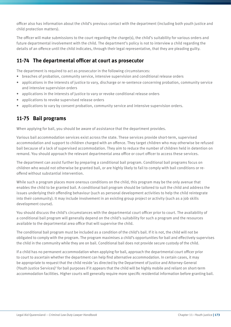officer also has information about the child's previous contact with the department (including both youth justice and child protection matters).

The officer will make submissions to the court regarding the charge(s), the child's suitability for various orders and future departmental involvement with the child. The department's policy is not to interview a child regarding the details of an offence until the child indicates, through their legal representative, that they are pleading guilty.

#### **11-74 The departmental officer at court as prosecutor**

The department is required to act as prosecutor in the following circumstances:

- breaches of probation, community service, intensive supervision and conditional release orders
- applications in the interests of justice to vary, discharge or re-sentence concerning probation, community service and intensive supervision orders
- applications in the interests of justice to vary or revoke conditional release orders
- applications to revoke supervised release orders
- applications to vary by consent probation, community service and intensive supervision orders.

#### **11-75 Bail programs**

When applying for bail, you should be aware of assistance that the department provides.

Various bail accommodation services exist across the state. These services provide short-term, supervised accommodation and support to children charged with an offence. They target children who may otherwise be refused bail because of a lack of supervised accommodation. They aim to reduce the number of children held in detention on remand. You should approach the relevant departmental area office or court officer to access these services.

The department can assist further by preparing a conditional bail program. Conditional bail programs focus on children who would not otherwise be granted bail, or are highly likely to fail to comply with bail conditions or reoffend without substantial intervention.

While such a program places more onerous conditions on the child, this program may be the only avenue that enables the child to be granted bail. A conditional bail program should be tailored to suit the child and address the issues underlying their offending behaviour (such as personal development activities to help the child reintegrate into their community). It may include involvement in an existing group project or activity (such as a job skills development course).

You should discuss the child's circumstances with the departmental court officer prior to court. The availability of a conditional bail program will generally depend on the child's suitability for such a program and the resources available to the departmental area office that will supervise the child.

The conditional bail program must be included as a condition of the child's bail. If it is not, the child will not be obligated to comply with the program. The program maximises a child's opportunities for bail and effectively supervises the child in the community while they are on bail. Conditional bail does not provide secure custody of the child.

If a child has no permanent accommodation when applying for bail, approach the departmental court officer prior to court to ascertain whether the department can help find alternative accommodation. In certain cases, it may be appropriate to request that the child reside 'as directed by the Department of Justice and Attorney-General (Youth Justice Services)' for bail purposes if it appears that the child will be highly mobile and reliant on short-term accommodation facilities. Higher courts will generally require more specific residential information before granting bail.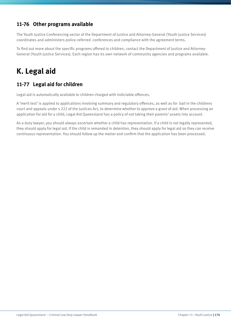## **11-76 Other programs available**

The Youth Justice Conferencing sector of the Department of Justice and Attorney-General (Youth Justice Services) coordinates and administers police-referred conferences and compliance with the agreement terms.

To find out more about the specific programs offered to children, contact the Department of Justice and Attorney-General (Youth Justice Services). Each region has its own network of community agencies and programs available.

# **K. Legal aid**

# **11-77 Legal aid for children**

Legal aid is automatically available to children charged with indictable offences.

A 'merit test' is applied to applications involving summary and regulatory offences, as well as for bail in the childrens court and appeals under s 222 of the Justices Act, to determine whether to approve a grant of aid. When processing an application for aid for a child, Legal Aid Queensland has a policy of not taking their parents' assets into account.

As a duty lawyer, you should always ascertain whether a child has representation. If a child is not legally represented, they should apply for legal aid. If the child is remanded in detention, they should apply for legal aid so they can receive continuous representation. You should follow up the matter and confirm that the application has been processed.